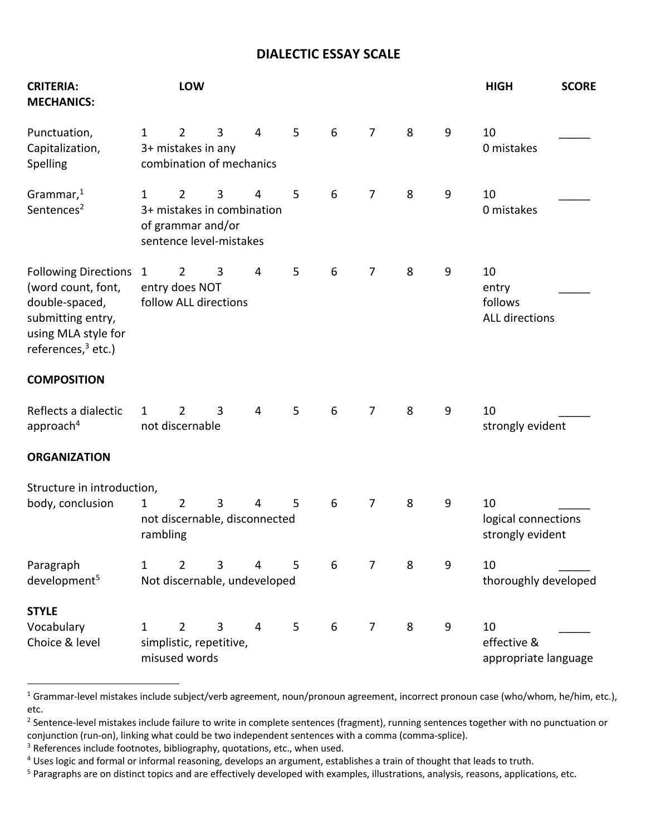## **DIALECTIC ESSAY SCALE**

| <b>CRITERIA:</b><br><b>MECHANICS:</b>                                                                                               |                          | LOW                                                                                          |   |   |   |                 |                |   |   | <b>HIGH</b>                                     | <b>SCORE</b> |
|-------------------------------------------------------------------------------------------------------------------------------------|--------------------------|----------------------------------------------------------------------------------------------|---|---|---|-----------------|----------------|---|---|-------------------------------------------------|--------------|
| Punctuation,<br>Capitalization,<br>Spelling                                                                                         | $\mathbf{1}$             | $\overline{2}$<br>3+ mistakes in any<br>combination of mechanics                             | 3 | 4 | 5 | $6\,$           | $\overline{7}$ | 8 | 9 | 10<br>0 mistakes                                |              |
| Grammar, $1$<br>Sentences <sup>2</sup>                                                                                              | $\mathbf{1}$             | $\overline{2}$<br>3+ mistakes in combination<br>of grammar and/or<br>sentence level-mistakes | 3 | 4 | 5 | $6\,$           | $\overline{7}$ | 8 | 9 | 10<br>0 mistakes                                |              |
| Following Directions 1<br>(word count, font,<br>double-spaced,<br>submitting entry,<br>using MLA style for<br>references, $3$ etc.) |                          | $\overline{2}$<br>entry does NOT<br>follow ALL directions                                    | 3 | 4 | 5 | 6               | $\overline{7}$ | 8 | 9 | 10<br>entry<br>follows<br><b>ALL directions</b> |              |
| <b>COMPOSITION</b>                                                                                                                  |                          |                                                                                              |   |   |   |                 |                |   |   |                                                 |              |
| Reflects a dialectic<br>approach <sup>4</sup>                                                                                       | 1                        | $\overline{2}$<br>not discernable                                                            | 3 | 4 | 5 | $6\phantom{1}6$ | $\overline{7}$ | 8 | 9 | 10<br>strongly evident                          |              |
| <b>ORGANIZATION</b>                                                                                                                 |                          |                                                                                              |   |   |   |                 |                |   |   |                                                 |              |
| Structure in introduction,<br>body, conclusion                                                                                      | $\mathbf{1}$<br>rambling | $\overline{2}$<br>not discernable, disconnected                                              | 3 | 4 | 5 | $6\,$           | $\overline{7}$ | 8 | 9 | 10<br>logical connections<br>strongly evident   |              |
| Paragraph<br>development <sup>5</sup>                                                                                               | $\mathbf{1}$             | $\overline{2}$<br>Not discernable, undeveloped                                               | 3 | 4 | 5 | 6               | $\overline{7}$ | 8 | 9 | 10<br>thoroughly developed                      |              |
| <b>STYLE</b><br>Vocabulary<br>Choice & level                                                                                        | 1                        | $\overline{2}$<br>simplistic, repetitive,<br>misused words                                   | 3 | 4 | 5 | 6               | $\overline{7}$ | 8 | 9 | 10<br>effective &<br>appropriate language       |              |

<sup>&</sup>lt;sup>1</sup> Grammar-level mistakes include subject/verb agreement, noun/pronoun agreement, incorrect pronoun case (who/whom, he/him, etc.), etc.

<sup>&</sup>lt;sup>2</sup> Sentence-level mistakes include failure to write in complete sentences (fragment), running sentences together with no punctuation or conjunction (run-on), linking what could be two independent sentences with a comma (comma-splice).

<sup>&</sup>lt;sup>3</sup> References include footnotes, bibliography, quotations, etc., when used.

<sup>4</sup> Uses logic and formal or informal reasoning, develops an argument, establishes a train of thought that leads to truth.

<sup>&</sup>lt;sup>5</sup> Paragraphs are on distinct topics and are effectively developed with examples, illustrations, analysis, reasons, applications, etc.